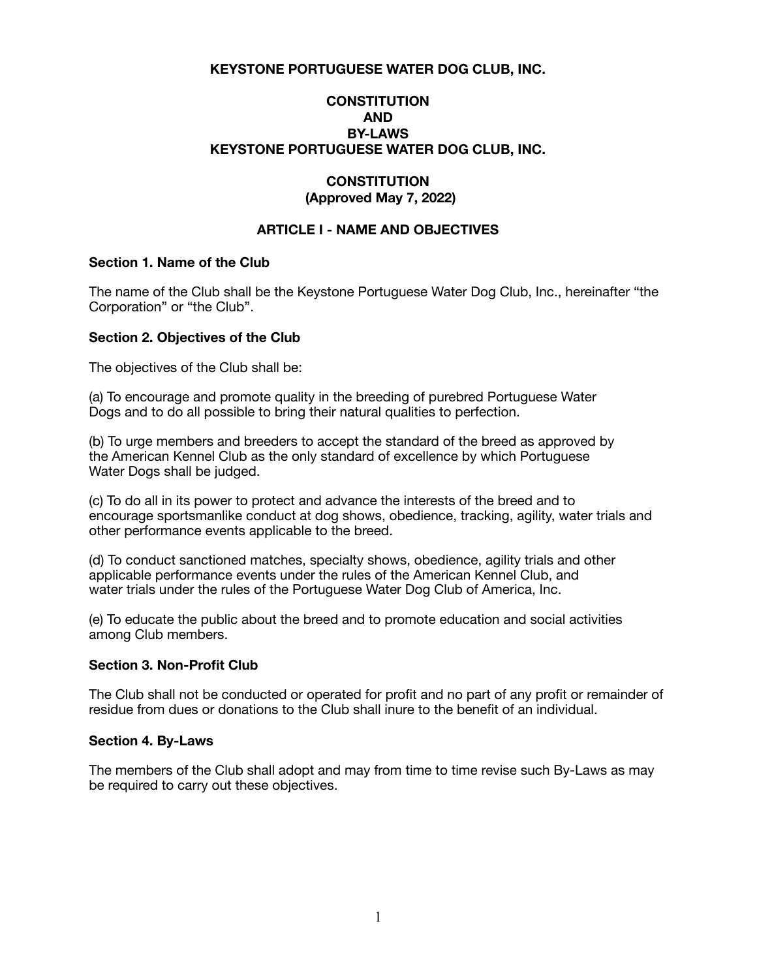### **KEYSTONE PORTUGUESE WATER DOG CLUB, INC.**

# **CONSTITUTION AND BY-LAWS KEYSTONE PORTUGUESE WATER DOG CLUB, INC.**

# **CONSTITUTION (Approved May 7, 2022)**

# **ARTICLE I - NAME AND OBJECTIVES**

### **Section 1. Name of the Club**

The name of the Club shall be the Keystone Portuguese Water Dog Club, Inc., hereinafter "the Corporation" or "the Club".

### **Section 2. Objectives of the Club**

The objectives of the Club shall be:

(a) To encourage and promote quality in the breeding of purebred Portuguese Water Dogs and to do all possible to bring their natural qualities to perfection.

(b) To urge members and breeders to accept the standard of the breed as approved by the American Kennel Club as the only standard of excellence by which Portuguese Water Dogs shall be judged.

(c) To do all in its power to protect and advance the interests of the breed and to encourage sportsmanlike conduct at dog shows, obedience, tracking, agility, water trials and other performance events applicable to the breed.

(d) To conduct sanctioned matches, specialty shows, obedience, agility trials and other applicable performance events under the rules of the American Kennel Club, and water trials under the rules of the Portuguese Water Dog Club of America, Inc.

(e) To educate the public about the breed and to promote education and social activities among Club members.

### **Section 3. Non-Profit Club**

The Club shall not be conducted or operated for profit and no part of any profit or remainder of residue from dues or donations to the Club shall inure to the benefit of an individual.

### **Section 4. By-Laws**

The members of the Club shall adopt and may from time to time revise such By-Laws as may be required to carry out these objectives.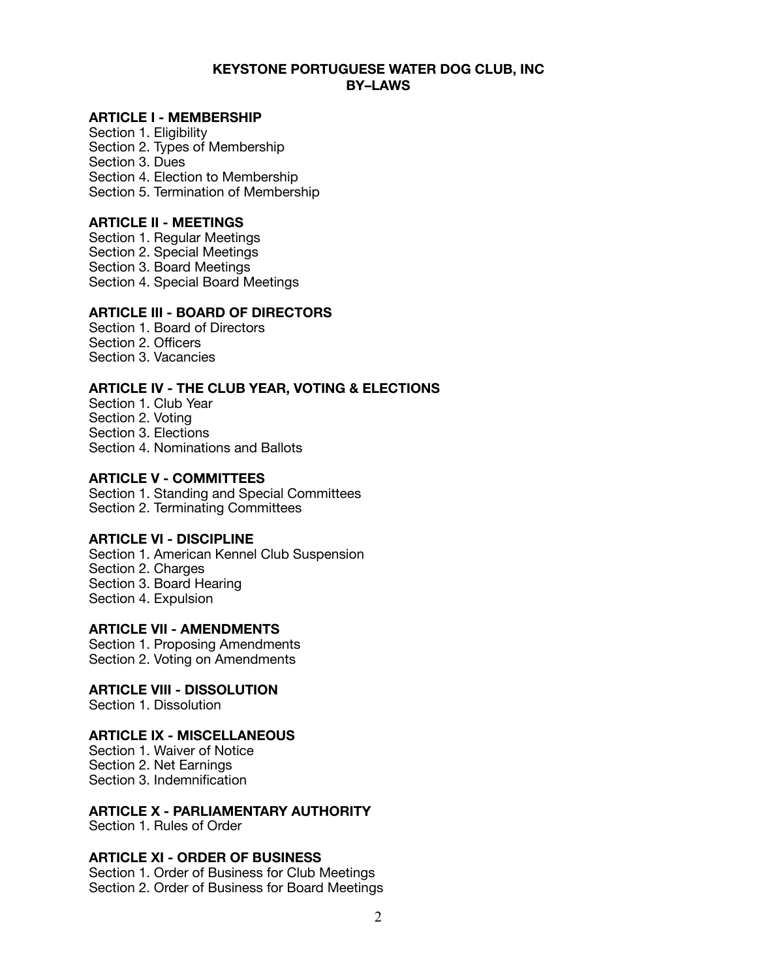### **KEYSTONE PORTUGUESE WATER DOG CLUB, INC BY–LAWS**

### **ARTICLE I - MEMBERSHIP**

Section 1. Eligibility Section 2. Types of Membership Section 3. Dues Section 4. Election to Membership Section 5. Termination of Membership

### **ARTICLE II - MEETINGS**

Section 1. Regular Meetings Section 2. Special Meetings Section 3. Board Meetings

Section 4. Special Board Meetings

### **ARTICLE III - BOARD OF DIRECTORS**

Section 1. Board of Directors Section 2. Officers Section 3. Vacancies

### **ARTICLE IV - THE CLUB YEAR, VOTING & ELECTIONS**

Section 1. Club Year Section 2. Voting Section 3. Elections Section 4. Nominations and Ballots

# **ARTICLE V - COMMITTEES**

Section 1. Standing and Special Committees Section 2. Terminating Committees

### **ARTICLE VI - DISCIPLINE**

Section 1. American Kennel Club Suspension Section 2. Charges Section 3. Board Hearing Section 4. Expulsion

### **ARTICLE VII - AMENDMENTS**

Section 1. Proposing Amendments Section 2. Voting on Amendments

# **ARTICLE VIII - DISSOLUTION**

Section 1. Dissolution

### **ARTICLE IX - MISCELLANEOUS**

Section 1. Waiver of Notice Section 2. Net Earnings Section 3. Indemnification

# **ARTICLE X - PARLIAMENTARY AUTHORITY**

Section 1. Rules of Order

### **ARTICLE XI - ORDER OF BUSINESS**

Section 1. Order of Business for Club Meetings Section 2. Order of Business for Board Meetings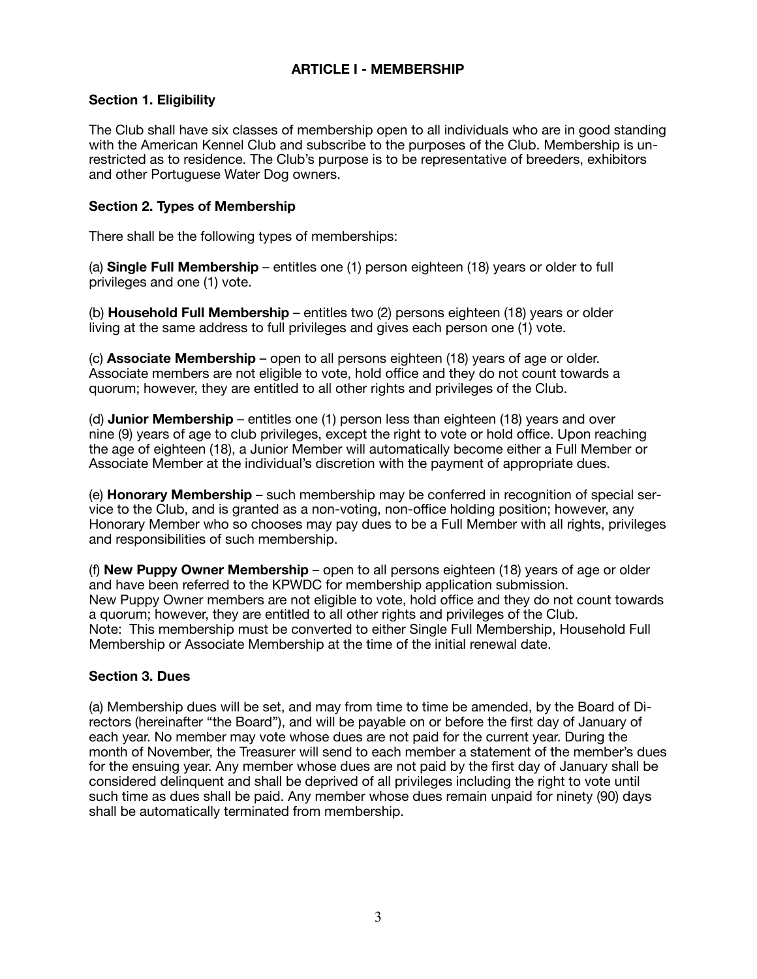# **ARTICLE I - MEMBERSHIP**

# **Section 1. Eligibility**

The Club shall have six classes of membership open to all individuals who are in good standing with the American Kennel Club and subscribe to the purposes of the Club. Membership is unrestricted as to residence. The Club's purpose is to be representative of breeders, exhibitors and other Portuguese Water Dog owners.

### **Section 2. Types of Membership**

There shall be the following types of memberships:

(a) **Single Full Membership** – entitles one (1) person eighteen (18) years or older to full privileges and one (1) vote.

(b) **Household Full Membership** – entitles two (2) persons eighteen (18) years or older living at the same address to full privileges and gives each person one (1) vote.

(c) **Associate Membership** – open to all persons eighteen (18) years of age or older. Associate members are not eligible to vote, hold office and they do not count towards a quorum; however, they are entitled to all other rights and privileges of the Club.

(d) **Junior Membership** – entitles one (1) person less than eighteen (18) years and over nine (9) years of age to club privileges, except the right to vote or hold office. Upon reaching the age of eighteen (18), a Junior Member will automatically become either a Full Member or Associate Member at the individual's discretion with the payment of appropriate dues.

(e) **Honorary Membership** – such membership may be conferred in recognition of special service to the Club, and is granted as a non-voting, non-office holding position; however, any Honorary Member who so chooses may pay dues to be a Full Member with all rights, privileges and responsibilities of such membership.

(f) **New Puppy Owner Membership** – open to all persons eighteen (18) years of age or older and have been referred to the KPWDC for membership application submission. New Puppy Owner members are not eligible to vote, hold office and they do not count towards a quorum; however, they are entitled to all other rights and privileges of the Club. Note: This membership must be converted to either Single Full Membership, Household Full Membership or Associate Membership at the time of the initial renewal date.

# **Section 3. Dues**

(a) Membership dues will be set, and may from time to time be amended, by the Board of Directors (hereinafter "the Board"), and will be payable on or before the first day of January of each year. No member may vote whose dues are not paid for the current year. During the month of November, the Treasurer will send to each member a statement of the member's dues for the ensuing year. Any member whose dues are not paid by the first day of January shall be considered delinquent and shall be deprived of all privileges including the right to vote until such time as dues shall be paid. Any member whose dues remain unpaid for ninety (90) days shall be automatically terminated from membership.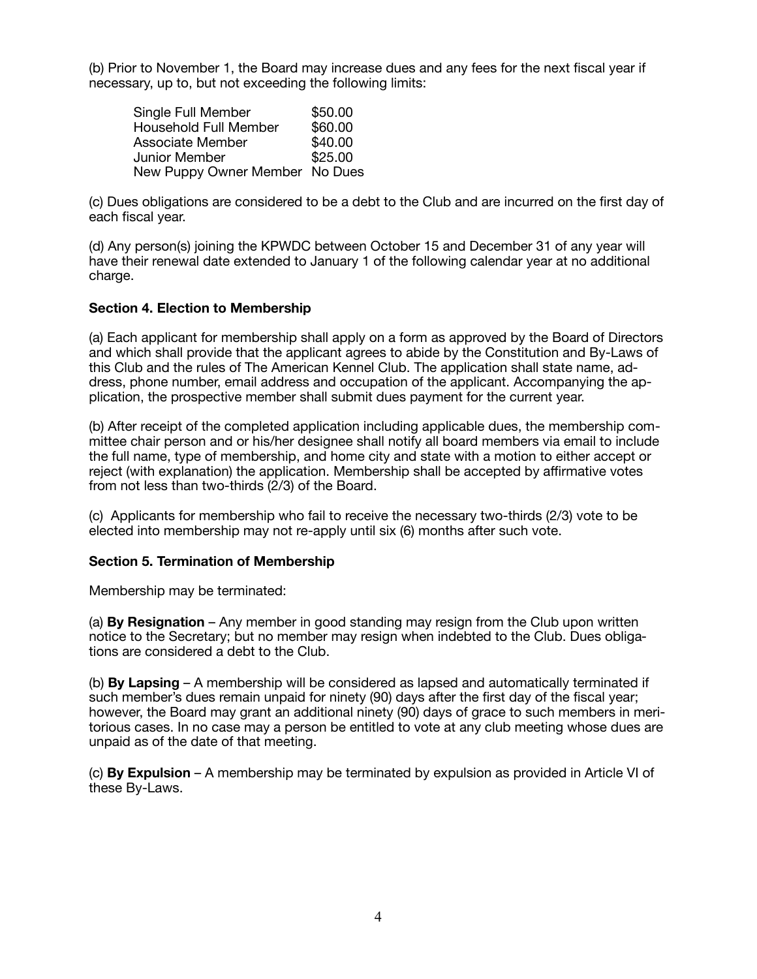(b) Prior to November 1, the Board may increase dues and any fees for the next fiscal year if necessary, up to, but not exceeding the following limits:

| Single Full Member             | \$50.00 |
|--------------------------------|---------|
| <b>Household Full Member</b>   | \$60.00 |
| Associate Member               | \$40.00 |
| Junior Member                  | \$25.00 |
| New Puppy Owner Member No Dues |         |

(c) Dues obligations are considered to be a debt to the Club and are incurred on the first day of each fiscal year.

(d) Any person(s) joining the KPWDC between October 15 and December 31 of any year will have their renewal date extended to January 1 of the following calendar year at no additional charge.

### **Section 4. Election to Membership**

(a) Each applicant for membership shall apply on a form as approved by the Board of Directors and which shall provide that the applicant agrees to abide by the Constitution and By-Laws of this Club and the rules of The American Kennel Club. The application shall state name, address, phone number, email address and occupation of the applicant. Accompanying the application, the prospective member shall submit dues payment for the current year.

(b) After receipt of the completed application including applicable dues, the membership committee chair person and or his/her designee shall notify all board members via email to include the full name, type of membership, and home city and state with a motion to either accept or reject (with explanation) the application. Membership shall be accepted by affirmative votes from not less than two-thirds (2/3) of the Board.

(c) Applicants for membership who fail to receive the necessary two-thirds (2/3) vote to be elected into membership may not re-apply until six (6) months after such vote.

#### **Section 5. Termination of Membership**

Membership may be terminated:

(a) **By Resignation** – Any member in good standing may resign from the Club upon written notice to the Secretary; but no member may resign when indebted to the Club. Dues obligations are considered a debt to the Club.

(b) **By Lapsing** – A membership will be considered as lapsed and automatically terminated if such member's dues remain unpaid for ninety (90) days after the first day of the fiscal year; however, the Board may grant an additional ninety (90) days of grace to such members in meritorious cases. In no case may a person be entitled to vote at any club meeting whose dues are unpaid as of the date of that meeting.

(c) **By Expulsion** – A membership may be terminated by expulsion as provided in Article VI of these By-Laws.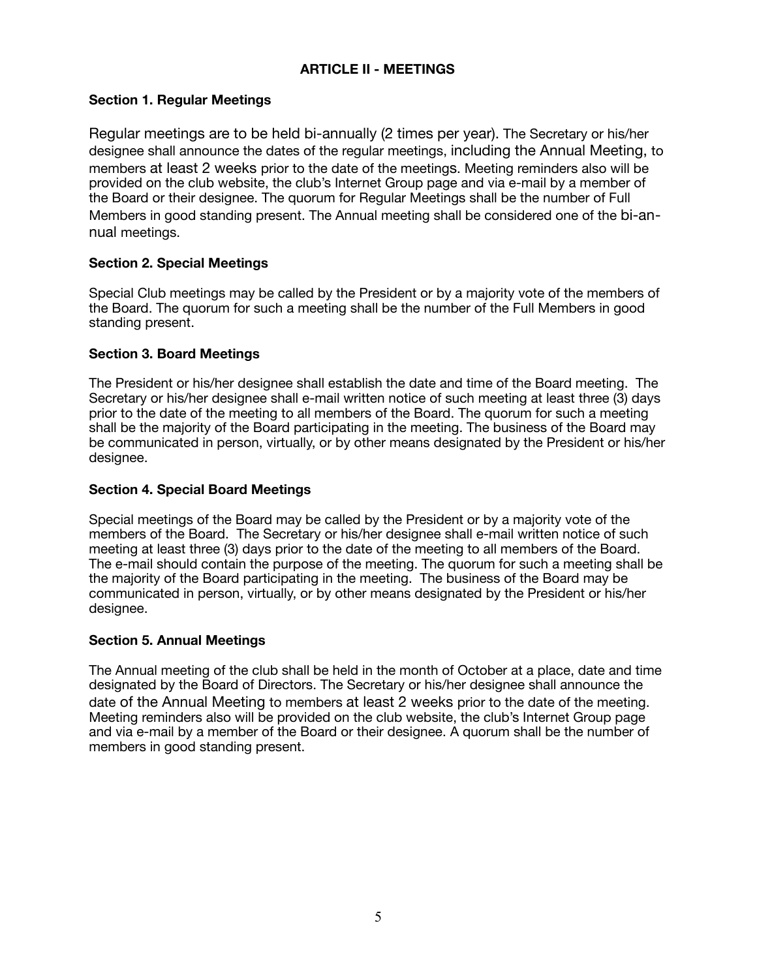# **ARTICLE II - MEETINGS**

# **Section 1. Regular Meetings**

Regular meetings are to be held bi-annually (2 times per year). The Secretary or his/her designee shall announce the dates of the regular meetings, including the Annual Meeting, to members at least 2 weeks prior to the date of the meetings. Meeting reminders also will be provided on the club website, the club's Internet Group page and via e-mail by a member of the Board or their designee. The quorum for Regular Meetings shall be the number of Full Members in good standing present. The Annual meeting shall be considered one of the bi-annual meetings.

# **Section 2. Special Meetings**

Special Club meetings may be called by the President or by a majority vote of the members of the Board. The quorum for such a meeting shall be the number of the Full Members in good standing present.

# **Section 3. Board Meetings**

The President or his/her designee shall establish the date and time of the Board meeting. The Secretary or his/her designee shall e-mail written notice of such meeting at least three (3) days prior to the date of the meeting to all members of the Board. The quorum for such a meeting shall be the majority of the Board participating in the meeting. The business of the Board may be communicated in person, virtually, or by other means designated by the President or his/her designee.

# **Section 4. Special Board Meetings**

Special meetings of the Board may be called by the President or by a majority vote of the members of the Board. The Secretary or his/her designee shall e-mail written notice of such meeting at least three (3) days prior to the date of the meeting to all members of the Board. The e-mail should contain the purpose of the meeting. The quorum for such a meeting shall be the majority of the Board participating in the meeting. The business of the Board may be communicated in person, virtually, or by other means designated by the President or his/her designee.

# **Section 5. Annual Meetings**

The Annual meeting of the club shall be held in the month of October at a place, date and time designated by the Board of Directors. The Secretary or his/her designee shall announce the date of the Annual Meeting to members at least 2 weeks prior to the date of the meeting. Meeting reminders also will be provided on the club website, the club's Internet Group page and via e-mail by a member of the Board or their designee. A quorum shall be the number of members in good standing present.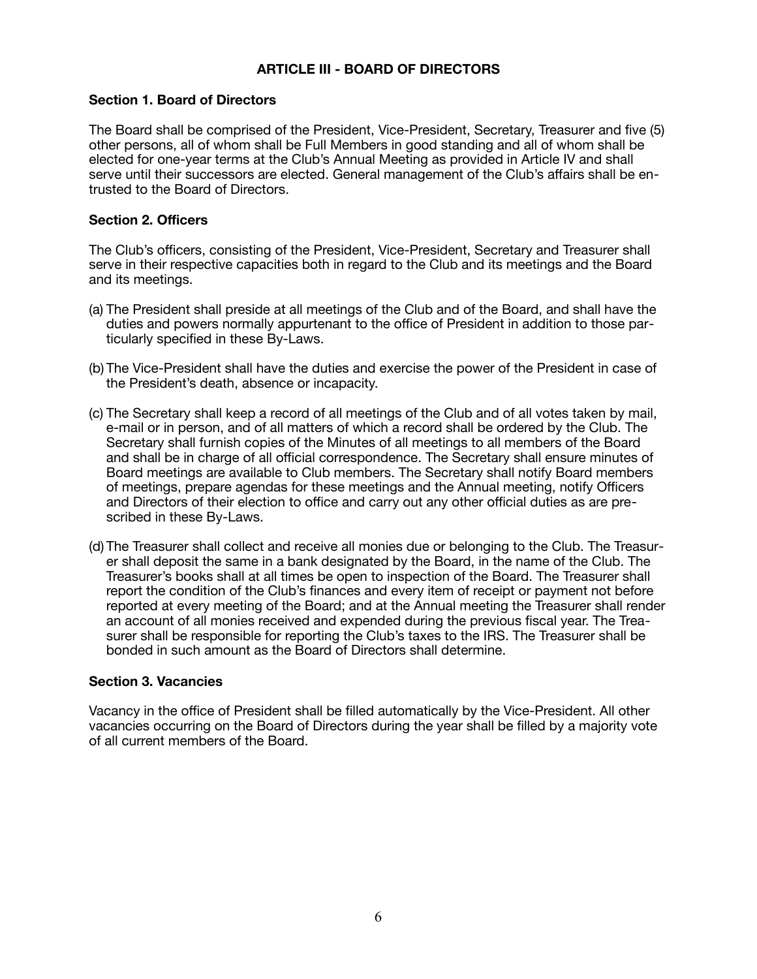# **ARTICLE III - BOARD OF DIRECTORS**

### **Section 1. Board of Directors**

The Board shall be comprised of the President, Vice-President, Secretary, Treasurer and five (5) other persons, all of whom shall be Full Members in good standing and all of whom shall be elected for one-year terms at the Club's Annual Meeting as provided in Article IV and shall serve until their successors are elected. General management of the Club's affairs shall be entrusted to the Board of Directors.

### **Section 2. Officers**

The Club's officers, consisting of the President, Vice-President, Secretary and Treasurer shall serve in their respective capacities both in regard to the Club and its meetings and the Board and its meetings.

- (a) The President shall preside at all meetings of the Club and of the Board, and shall have the duties and powers normally appurtenant to the office of President in addition to those particularly specified in these By-Laws.
- (b) The Vice-President shall have the duties and exercise the power of the President in case of the President's death, absence or incapacity.
- (c) The Secretary shall keep a record of all meetings of the Club and of all votes taken by mail, e-mail or in person, and of all matters of which a record shall be ordered by the Club. The Secretary shall furnish copies of the Minutes of all meetings to all members of the Board and shall be in charge of all official correspondence. The Secretary shall ensure minutes of Board meetings are available to Club members. The Secretary shall notify Board members of meetings, prepare agendas for these meetings and the Annual meeting, notify Officers and Directors of their election to office and carry out any other official duties as are prescribed in these By-Laws.
- (d) The Treasurer shall collect and receive all monies due or belonging to the Club. The Treasurer shall deposit the same in a bank designated by the Board, in the name of the Club. The Treasurer's books shall at all times be open to inspection of the Board. The Treasurer shall report the condition of the Club's finances and every item of receipt or payment not before reported at every meeting of the Board; and at the Annual meeting the Treasurer shall render an account of all monies received and expended during the previous fiscal year. The Treasurer shall be responsible for reporting the Club's taxes to the IRS. The Treasurer shall be bonded in such amount as the Board of Directors shall determine.

### **Section 3. Vacancies**

Vacancy in the office of President shall be filled automatically by the Vice-President. All other vacancies occurring on the Board of Directors during the year shall be filled by a majority vote of all current members of the Board.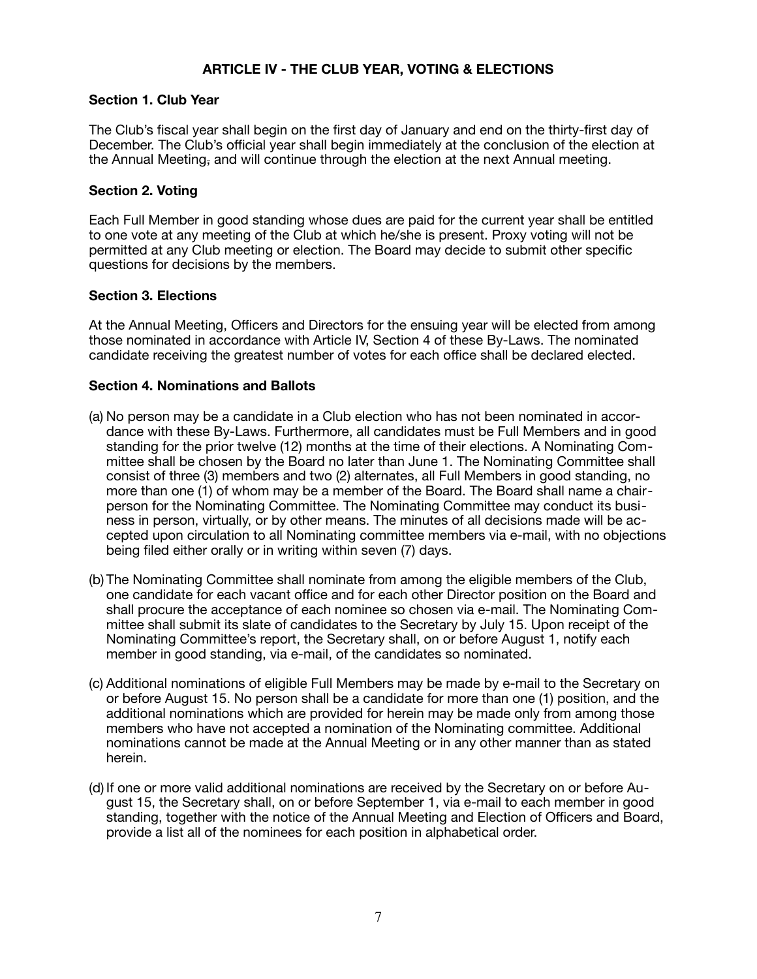# **ARTICLE IV - THE CLUB YEAR, VOTING & ELECTIONS**

### **Section 1. Club Year**

The Club's fiscal year shall begin on the first day of January and end on the thirty-first day of December. The Club's official year shall begin immediately at the conclusion of the election at the Annual Meeting, and will continue through the election at the next Annual meeting.

### **Section 2. Voting**

Each Full Member in good standing whose dues are paid for the current year shall be entitled to one vote at any meeting of the Club at which he/she is present. Proxy voting will not be permitted at any Club meeting or election. The Board may decide to submit other specific questions for decisions by the members.

### **Section 3. Elections**

At the Annual Meeting, Officers and Directors for the ensuing year will be elected from among those nominated in accordance with Article IV, Section 4 of these By-Laws. The nominated candidate receiving the greatest number of votes for each office shall be declared elected.

### **Section 4. Nominations and Ballots**

- (a) No person may be a candidate in a Club election who has not been nominated in accordance with these By-Laws. Furthermore, all candidates must be Full Members and in good standing for the prior twelve (12) months at the time of their elections. A Nominating Committee shall be chosen by the Board no later than June 1. The Nominating Committee shall consist of three (3) members and two (2) alternates, all Full Members in good standing, no more than one (1) of whom may be a member of the Board. The Board shall name a chairperson for the Nominating Committee. The Nominating Committee may conduct its business in person, virtually, or by other means. The minutes of all decisions made will be accepted upon circulation to all Nominating committee members via e-mail, with no objections being filed either orally or in writing within seven (7) days.
- (b) The Nominating Committee shall nominate from among the eligible members of the Club, one candidate for each vacant office and for each other Director position on the Board and shall procure the acceptance of each nominee so chosen via e-mail. The Nominating Committee shall submit its slate of candidates to the Secretary by July 15. Upon receipt of the Nominating Committee's report, the Secretary shall, on or before August 1, notify each member in good standing, via e-mail, of the candidates so nominated.
- (c) Additional nominations of eligible Full Members may be made by e-mail to the Secretary on or before August 15. No person shall be a candidate for more than one (1) position, and the additional nominations which are provided for herein may be made only from among those members who have not accepted a nomination of the Nominating committee. Additional nominations cannot be made at the Annual Meeting or in any other manner than as stated herein.
- (d) If one or more valid additional nominations are received by the Secretary on or before August 15, the Secretary shall, on or before September 1, via e-mail to each member in good standing, together with the notice of the Annual Meeting and Election of Officers and Board, provide a list all of the nominees for each position in alphabetical order.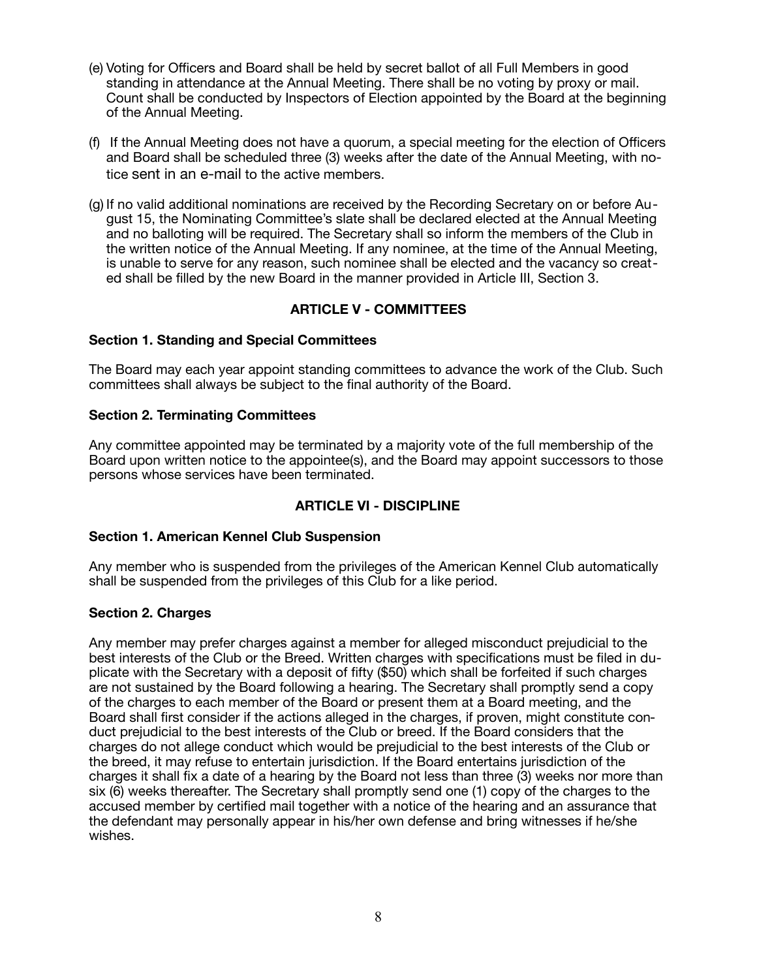- (e) Voting for Officers and Board shall be held by secret ballot of all Full Members in good standing in attendance at the Annual Meeting. There shall be no voting by proxy or mail. Count shall be conducted by Inspectors of Election appointed by the Board at the beginning of the Annual Meeting.
- (f) If the Annual Meeting does not have a quorum, a special meeting for the election of Officers and Board shall be scheduled three (3) weeks after the date of the Annual Meeting, with notice sent in an e-mail to the active members.
- (g) If no valid additional nominations are received by the Recording Secretary on or before August 15, the Nominating Committee's slate shall be declared elected at the Annual Meeting and no balloting will be required. The Secretary shall so inform the members of the Club in the written notice of the Annual Meeting. If any nominee, at the time of the Annual Meeting, is unable to serve for any reason, such nominee shall be elected and the vacancy so created shall be filled by the new Board in the manner provided in Article III, Section 3.

# **ARTICLE V - COMMITTEES**

# **Section 1. Standing and Special Committees**

The Board may each year appoint standing committees to advance the work of the Club. Such committees shall always be subject to the final authority of the Board.

### **Section 2. Terminating Committees**

Any committee appointed may be terminated by a majority vote of the full membership of the Board upon written notice to the appointee(s), and the Board may appoint successors to those persons whose services have been terminated.

# **ARTICLE VI - DISCIPLINE**

### **Section 1. American Kennel Club Suspension**

Any member who is suspended from the privileges of the American Kennel Club automatically shall be suspended from the privileges of this Club for a like period.

### **Section 2. Charges**

Any member may prefer charges against a member for alleged misconduct prejudicial to the best interests of the Club or the Breed. Written charges with specifications must be filed in duplicate with the Secretary with a deposit of fifty (\$50) which shall be forfeited if such charges are not sustained by the Board following a hearing. The Secretary shall promptly send a copy of the charges to each member of the Board or present them at a Board meeting, and the Board shall first consider if the actions alleged in the charges, if proven, might constitute conduct prejudicial to the best interests of the Club or breed. If the Board considers that the charges do not allege conduct which would be prejudicial to the best interests of the Club or the breed, it may refuse to entertain jurisdiction. If the Board entertains jurisdiction of the charges it shall fix a date of a hearing by the Board not less than three (3) weeks nor more than six (6) weeks thereafter. The Secretary shall promptly send one (1) copy of the charges to the accused member by certified mail together with a notice of the hearing and an assurance that the defendant may personally appear in his/her own defense and bring witnesses if he/she wishes.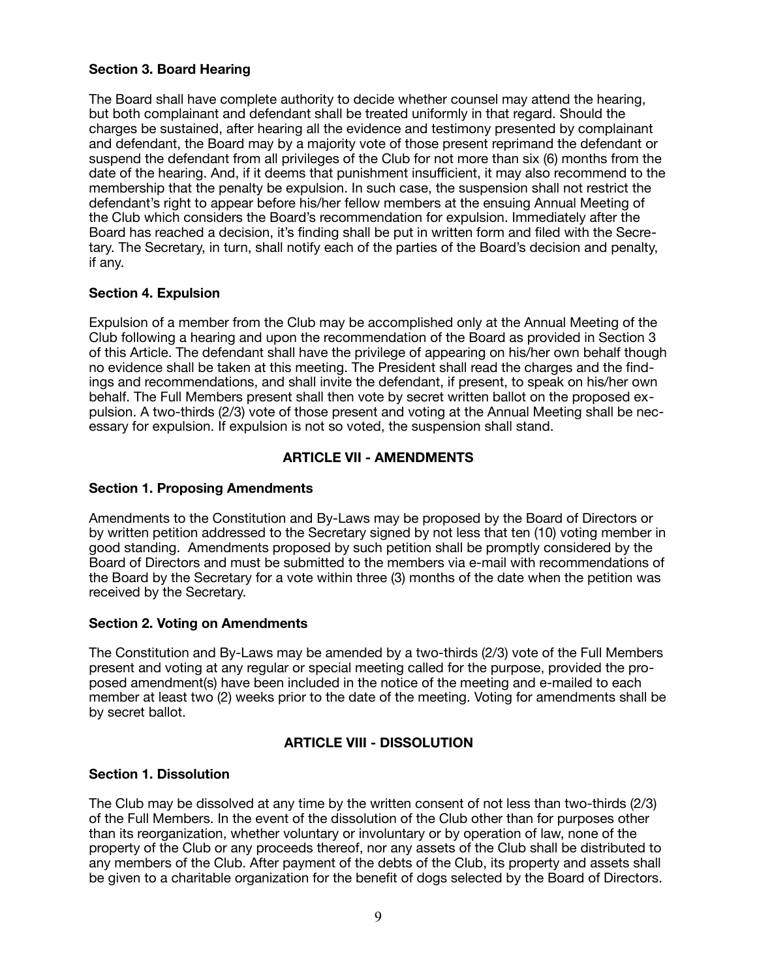# **Section 3. Board Hearing**

The Board shall have complete authority to decide whether counsel may attend the hearing, but both complainant and defendant shall be treated uniformly in that regard. Should the charges be sustained, after hearing all the evidence and testimony presented by complainant and defendant, the Board may by a majority vote of those present reprimand the defendant or suspend the defendant from all privileges of the Club for not more than six (6) months from the date of the hearing. And, if it deems that punishment insufficient, it may also recommend to the membership that the penalty be expulsion. In such case, the suspension shall not restrict the defendant's right to appear before his/her fellow members at the ensuing Annual Meeting of the Club which considers the Board's recommendation for expulsion. Immediately after the Board has reached a decision, it's finding shall be put in written form and filed with the Secretary. The Secretary, in turn, shall notify each of the parties of the Board's decision and penalty, if any.

# **Section 4. Expulsion**

Expulsion of a member from the Club may be accomplished only at the Annual Meeting of the Club following a hearing and upon the recommendation of the Board as provided in Section 3 of this Article. The defendant shall have the privilege of appearing on his/her own behalf though no evidence shall be taken at this meeting. The President shall read the charges and the findings and recommendations, and shall invite the defendant, if present, to speak on his/her own behalf. The Full Members present shall then vote by secret written ballot on the proposed expulsion. A two-thirds (2/3) vote of those present and voting at the Annual Meeting shall be necessary for expulsion. If expulsion is not so voted, the suspension shall stand.

# **ARTICLE VII - AMENDMENTS**

# **Section 1. Proposing Amendments**

Amendments to the Constitution and By-Laws may be proposed by the Board of Directors or by written petition addressed to the Secretary signed by not less that ten (10) voting member in good standing. Amendments proposed by such petition shall be promptly considered by the Board of Directors and must be submitted to the members via e-mail with recommendations of the Board by the Secretary for a vote within three (3) months of the date when the petition was received by the Secretary.

# **Section 2. Voting on Amendments**

The Constitution and By-Laws may be amended by a two-thirds (2/3) vote of the Full Members present and voting at any regular or special meeting called for the purpose, provided the proposed amendment(s) have been included in the notice of the meeting and e-mailed to each member at least two (2) weeks prior to the date of the meeting. Voting for amendments shall be by secret ballot.

# **ARTICLE VIII - DISSOLUTION**

# **Section 1. Dissolution**

The Club may be dissolved at any time by the written consent of not less than two-thirds (2/3) of the Full Members. In the event of the dissolution of the Club other than for purposes other than its reorganization, whether voluntary or involuntary or by operation of law, none of the property of the Club or any proceeds thereof, nor any assets of the Club shall be distributed to any members of the Club. After payment of the debts of the Club, its property and assets shall be given to a charitable organization for the benefit of dogs selected by the Board of Directors.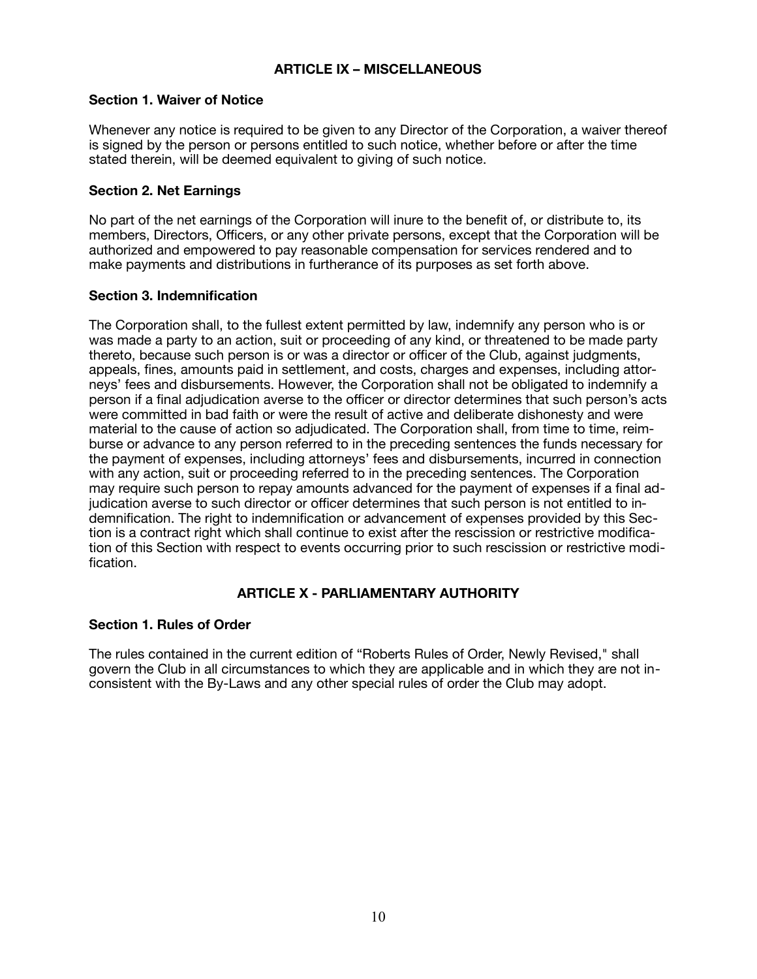# **ARTICLE IX – MISCELLANEOUS**

### **Section 1. Waiver of Notice**

Whenever any notice is required to be given to any Director of the Corporation, a waiver thereof is signed by the person or persons entitled to such notice, whether before or after the time stated therein, will be deemed equivalent to giving of such notice.

### **Section 2. Net Earnings**

No part of the net earnings of the Corporation will inure to the benefit of, or distribute to, its members, Directors, Officers, or any other private persons, except that the Corporation will be authorized and empowered to pay reasonable compensation for services rendered and to make payments and distributions in furtherance of its purposes as set forth above.

### **Section 3. Indemnification**

The Corporation shall, to the fullest extent permitted by law, indemnify any person who is or was made a party to an action, suit or proceeding of any kind, or threatened to be made party thereto, because such person is or was a director or officer of the Club, against judgments, appeals, fines, amounts paid in settlement, and costs, charges and expenses, including attorneys' fees and disbursements. However, the Corporation shall not be obligated to indemnify a person if a final adjudication averse to the officer or director determines that such person's acts were committed in bad faith or were the result of active and deliberate dishonesty and were material to the cause of action so adjudicated. The Corporation shall, from time to time, reimburse or advance to any person referred to in the preceding sentences the funds necessary for the payment of expenses, including attorneys' fees and disbursements, incurred in connection with any action, suit or proceeding referred to in the preceding sentences. The Corporation may require such person to repay amounts advanced for the payment of expenses if a final adjudication averse to such director or officer determines that such person is not entitled to indemnification. The right to indemnification or advancement of expenses provided by this Section is a contract right which shall continue to exist after the rescission or restrictive modification of this Section with respect to events occurring prior to such rescission or restrictive modification.

# **ARTICLE X - PARLIAMENTARY AUTHORITY**

### **Section 1. Rules of Order**

The rules contained in the current edition of "Roberts Rules of Order, Newly Revised," shall govern the Club in all circumstances to which they are applicable and in which they are not inconsistent with the By-Laws and any other special rules of order the Club may adopt.